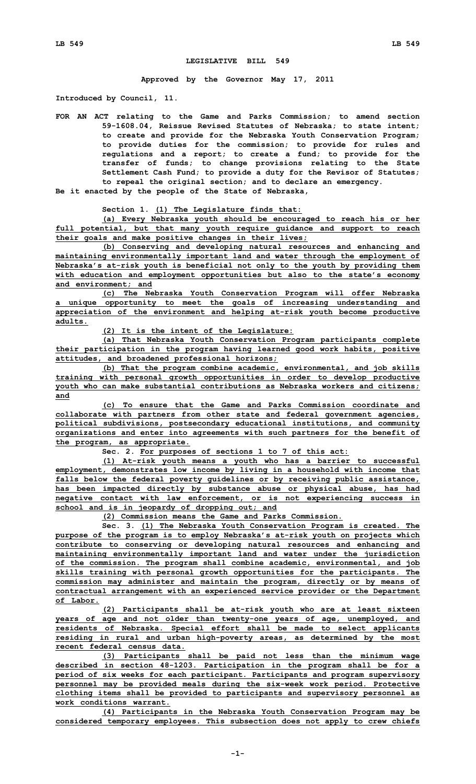## **LEGISLATIVE BILL 549**

**Approved by the Governor May 17, 2011**

**Introduced by Council, 11.**

**FOR AN ACT relating to the Game and Parks Commission; to amend section 59-1608.04, Reissue Revised Statutes of Nebraska; to state intent; to create and provide for the Nebraska Youth Conservation Program; to provide duties for the commission; to provide for rules and regulations and <sup>a</sup> report; to create <sup>a</sup> fund; to provide for the transfer of funds; to change provisions relating to the State Settlement Cash Fund; to provide <sup>a</sup> duty for the Revisor of Statutes; to repeal the original section; and to declare an emergency.**

**Be it enacted by the people of the State of Nebraska,**

**Section 1. (1) The Legislature finds that:**

**(a) Every Nebraska youth should be encouraged to reach his or her full potential, but that many youth require guidance and support to reach their goals and make positive changes in their lives;**

**(b) Conserving and developing natural resources and enhancing and maintaining environmentally important land and water through the employment of Nebraska's at-risk youth is beneficial not only to the youth by providing them with education and employment opportunities but also to the state's economy and environment; and**

**(c) The Nebraska Youth Conservation Program will offer Nebraska <sup>a</sup> unique opportunity to meet the goals of increasing understanding and appreciation of the environment and helping at-risk youth become productive adults.**

**(2) It is the intent of the Legislature:**

**(a) That Nebraska Youth Conservation Program participants complete their participation in the program having learned good work habits, positive attitudes, and broadened professional horizons;**

**(b) That the program combine academic, environmental, and job skills training with personal growth opportunities in order to develop productive youth who can make substantial contributions as Nebraska workers and citizens; and**

**(c) To ensure that the Game and Parks Commission coordinate and collaborate with partners from other state and federal government agencies, political subdivisions, postsecondary educational institutions, and community organizations and enter into agreements with such partners for the benefit of the program, as appropriate.**

**Sec. 2. For purposes of sections 1 to 7 of this act:**

**(1) At-risk youth means <sup>a</sup> youth who has <sup>a</sup> barrier to successful employment, demonstrates low income by living in <sup>a</sup> household with income that falls below the federal poverty guidelines or by receiving public assistance, has been impacted directly by substance abuse or physical abuse, has had negative contact with law enforcement, or is not experiencing success in school and is in jeopardy of dropping out; and**

**(2) Commission means the Game and Parks Commission.**

**Sec. 3. (1) The Nebraska Youth Conservation Program is created. The purpose of the program is to employ Nebraska's at-risk youth on projects which contribute to conserving or developing natural resources and enhancing and maintaining environmentally important land and water under the jurisdiction of the commission. The program shall combine academic, environmental, and job skills training with personal growth opportunities for the participants. The commission may administer and maintain the program, directly or by means of contractual arrangement with an experienced service provider or the Department of Labor.**

**(2) Participants shall be at-risk youth who are at least sixteen years of age and not older than twenty-one years of age, unemployed, and residents of Nebraska. Special effort shall be made to select applicants residing in rural and urban high-poverty areas, as determined by the most recent federal census data.**

**(3) Participants shall be paid not less than the minimum wage described in section 48-1203. Participation in the program shall be for <sup>a</sup> period of six weeks for each participant. Participants and program supervisory personnel may be provided meals during the six-week work period. Protective clothing items shall be provided to participants and supervisory personnel as work conditions warrant.**

**(4) Participants in the Nebraska Youth Conservation Program may be considered temporary employees. This subsection does not apply to crew chiefs**